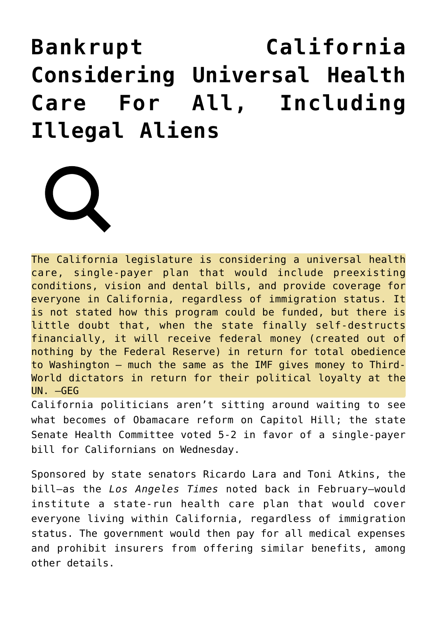## **[Bankrupt California](https://needtoknow.news/2017/04/bankrupt-california-considering-universal-health-care-including-illegal-aliens/) [Considering Universal Health](https://needtoknow.news/2017/04/bankrupt-california-considering-universal-health-care-including-illegal-aliens/) [Care For All, Including](https://needtoknow.news/2017/04/bankrupt-california-considering-universal-health-care-including-illegal-aliens/) [Illegal Aliens](https://needtoknow.news/2017/04/bankrupt-california-considering-universal-health-care-including-illegal-aliens/)**



The California legislature is considering a universal health care, single-payer plan that would include preexisting conditions, vision and dental bills, and provide coverage for everyone in California, regardless of immigration status. It is not stated how this program could be funded, but there is little doubt that, when the state finally self-destructs financially, it will receive federal money (created out of nothing by the Federal Reserve) in return for total obedience to Washington – much the same as the IMF gives money to Third-World dictators in return for their political loyalty at the UN. –GEG

California politicians aren't sitting around waiting to see what becomes of Obamacare reform on Capitol Hill; the state Senate Health Committee voted 5-2 in favor of a single-payer bill for Californians on Wednesday.

Sponsored by state senators Ricardo Lara and Toni Atkins, the bill—as the *Los Angeles Times* [noted](http://www.latimes.com/politics/essential/la-pol-ca-essential-politics-updates-what-would-single-payer-look-like-in-1490888709-htmlstory.html) back in February–would institute a state-run health care plan that would cover everyone living within California, regardless of immigration status. The government would then pay for all medical expenses and prohibit insurers from offering similar benefits, among other details.